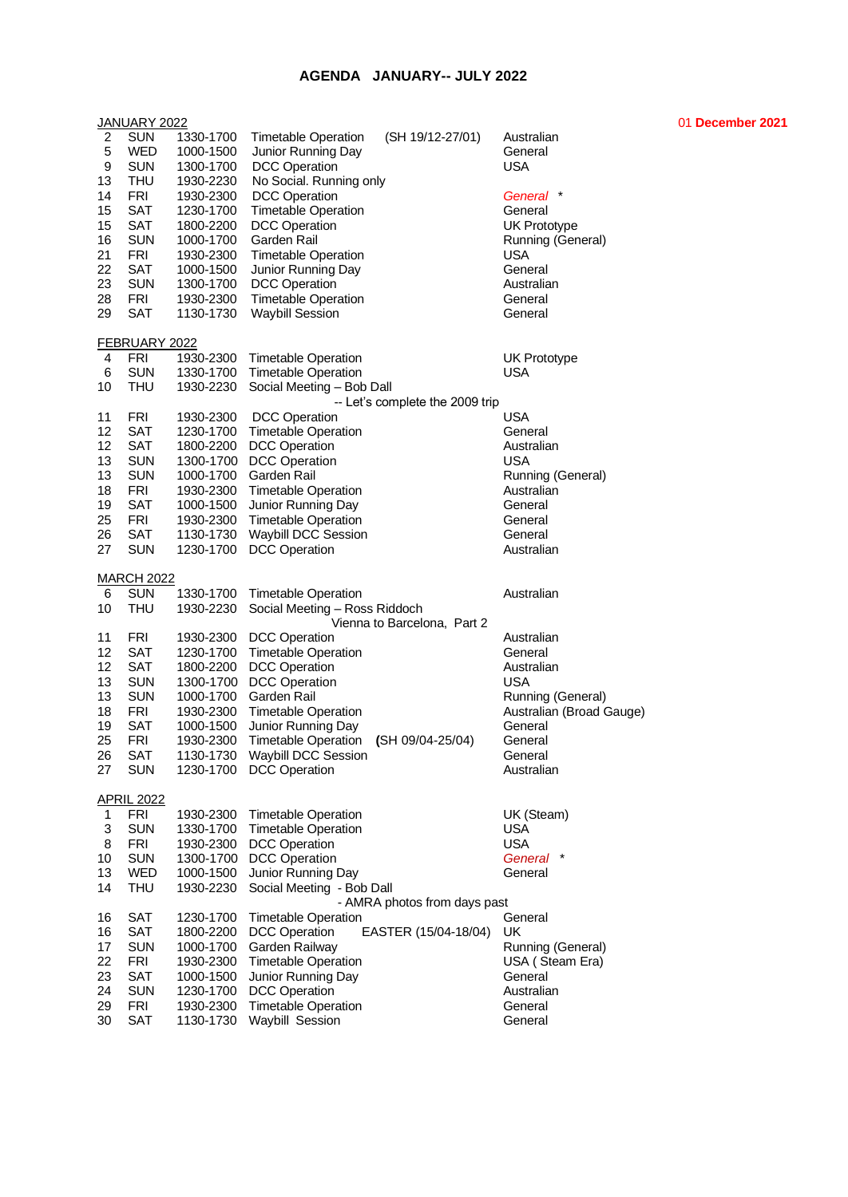## **AGENDA JANUARY-- JULY 2022**

|               | <u>JANUARY 2022</u> |           |                                                            |                      |                                     | $01$ D |  |  |  |  |
|---------------|---------------------|-----------|------------------------------------------------------------|----------------------|-------------------------------------|--------|--|--|--|--|
| 2             | <b>SUN</b>          | 1330-1700 | <b>Timetable Operation</b>                                 | (SH 19/12-27/01)     | Australian                          |        |  |  |  |  |
| 5             | <b>WED</b>          | 1000-1500 | Junior Running Day                                         |                      | General                             |        |  |  |  |  |
| 9             | <b>SUN</b>          | 1300-1700 | DCC Operation                                              |                      | <b>USA</b>                          |        |  |  |  |  |
| 13            | <b>THU</b>          | 1930-2230 | No Social. Running only                                    |                      |                                     |        |  |  |  |  |
| 14            | <b>FRI</b>          | 1930-2300 | <b>DCC</b> Operation                                       |                      | General *                           |        |  |  |  |  |
| 15            | <b>SAT</b>          | 1230-1700 | <b>Timetable Operation</b>                                 |                      | General                             |        |  |  |  |  |
| 15            | <b>SAT</b>          | 1800-2200 | <b>DCC Operation</b>                                       |                      | UK Prototype                        |        |  |  |  |  |
| 16            | <b>SUN</b>          | 1000-1700 | Garden Rail                                                |                      | Running (General)                   |        |  |  |  |  |
| 21            | <b>FRI</b>          | 1930-2300 | <b>Timetable Operation</b>                                 |                      | <b>USA</b>                          |        |  |  |  |  |
| 22            | <b>SAT</b>          | 1000-1500 | Junior Running Day                                         |                      | General                             |        |  |  |  |  |
| 23            | <b>SUN</b>          | 1300-1700 | <b>DCC Operation</b>                                       |                      | Australian                          |        |  |  |  |  |
| 28            | <b>FRI</b>          | 1930-2300 | <b>Timetable Operation</b>                                 |                      | General                             |        |  |  |  |  |
| 29            | <b>SAT</b>          | 1130-1730 | <b>Waybill Session</b>                                     |                      | General                             |        |  |  |  |  |
|               |                     |           |                                                            |                      |                                     |        |  |  |  |  |
| FEBRUARY 2022 |                     |           |                                                            |                      |                                     |        |  |  |  |  |
| 4             | <b>FRI</b>          | 1930-2300 | <b>Timetable Operation</b>                                 |                      | <b>UK Prototype</b>                 |        |  |  |  |  |
| 6             | <b>SUN</b>          |           | 1330-1700 Timetable Operation                              |                      | <b>USA</b>                          |        |  |  |  |  |
| 10            | <b>THU</b>          | 1930-2230 | Social Meeting - Bob Dall                                  |                      |                                     |        |  |  |  |  |
|               |                     |           | -- Let's complete the 2009 trip                            |                      |                                     |        |  |  |  |  |
| 11            | FRI                 | 1930-2300 | DCC Operation                                              |                      | USA                                 |        |  |  |  |  |
| 12            | <b>SAT</b>          | 1230-1700 | <b>Timetable Operation</b>                                 |                      | General                             |        |  |  |  |  |
| 12            | <b>SAT</b>          | 1800-2200 | <b>DCC Operation</b>                                       |                      | Australian                          |        |  |  |  |  |
| 13            | <b>SUN</b>          | 1300-1700 | <b>DCC Operation</b>                                       |                      | <b>USA</b>                          |        |  |  |  |  |
| 13            | <b>SUN</b>          |           | 1000-1700 Garden Rail                                      |                      | Running (General)                   |        |  |  |  |  |
| 18            | <b>FRI</b>          | 1930-2300 | <b>Timetable Operation</b>                                 |                      | Australian                          |        |  |  |  |  |
| 19            | <b>SAT</b>          | 1000-1500 | Junior Running Day                                         |                      | General                             |        |  |  |  |  |
| 25            | <b>FRI</b>          | 1930-2300 | <b>Timetable Operation</b>                                 |                      | General                             |        |  |  |  |  |
| 26            | <b>SAT</b>          | 1130-1730 | <b>Waybill DCC Session</b>                                 |                      | General                             |        |  |  |  |  |
| 27            | <b>SUN</b>          | 1230-1700 | <b>DCC</b> Operation                                       |                      | Australian                          |        |  |  |  |  |
|               |                     |           |                                                            |                      |                                     |        |  |  |  |  |
|               | <b>MARCH 2022</b>   |           |                                                            |                      |                                     |        |  |  |  |  |
| 6             | <b>SUN</b>          | 1330-1700 | <b>Timetable Operation</b>                                 |                      | Australian                          |        |  |  |  |  |
| 10            | THU                 | 1930-2230 | Social Meeting - Ross Riddoch                              |                      |                                     |        |  |  |  |  |
|               |                     |           | Vienna to Barcelona, Part 2                                |                      |                                     |        |  |  |  |  |
| 11            | FRI                 | 1930-2300 | DCC Operation                                              |                      | Australian                          |        |  |  |  |  |
| 12            | <b>SAT</b>          | 1230-1700 | <b>Timetable Operation</b>                                 |                      | General                             |        |  |  |  |  |
| 12            | <b>SAT</b>          | 1800-2200 | <b>DCC</b> Operation                                       |                      | Australian                          |        |  |  |  |  |
| 13            | <b>SUN</b>          | 1300-1700 | <b>DCC Operation</b>                                       |                      | <b>USA</b>                          |        |  |  |  |  |
| 13            | <b>SUN</b>          |           | 1000-1700 Garden Rail                                      |                      | Running (General)                   |        |  |  |  |  |
| 18            | <b>FRI</b>          | 1930-2300 | <b>Timetable Operation</b>                                 |                      |                                     |        |  |  |  |  |
| 19            | <b>SAT</b>          | 1000-1500 | Junior Running Day                                         |                      | Australian (Broad Gauge)<br>General |        |  |  |  |  |
|               | <b>FRI</b>          | 1930-2300 |                                                            |                      |                                     |        |  |  |  |  |
| 25            |                     |           | <b>Timetable Operation</b>                                 | $(SH 09/04-25/04)$   | General                             |        |  |  |  |  |
| 26            | SAT                 |           | 1130-1730 Waybill DCC Session                              |                      | General                             |        |  |  |  |  |
| 27            | <b>SUN</b>          |           | 1230-1700 DCC Operation                                    |                      | Australian                          |        |  |  |  |  |
|               | <b>APRIL 2022</b>   |           |                                                            |                      |                                     |        |  |  |  |  |
| 1             | <b>FRI</b>          | 1930-2300 | <b>Timetable Operation</b>                                 |                      | UK (Steam)                          |        |  |  |  |  |
| 3             | <b>SUN</b>          |           | 1330-1700 Timetable Operation                              |                      | <b>USA</b>                          |        |  |  |  |  |
| 8             | <b>FRI</b>          |           | 1930-2300 DCC Operation                                    |                      | <b>USA</b>                          |        |  |  |  |  |
|               |                     |           | 1300-1700 DCC Operation                                    |                      | General *                           |        |  |  |  |  |
| 10            | <b>SUN</b>          |           |                                                            |                      |                                     |        |  |  |  |  |
| 13            | WED                 | 1000-1500 | Junior Running Day                                         |                      | General                             |        |  |  |  |  |
| 14            | THU                 | 1930-2230 | Social Meeting - Bob Dall                                  |                      |                                     |        |  |  |  |  |
| 16            | SAT                 |           | - AMRA photos from days past<br><b>Timetable Operation</b> |                      | General                             |        |  |  |  |  |
|               |                     | 1230-1700 |                                                            |                      |                                     |        |  |  |  |  |
| 16            | <b>SAT</b>          | 1800-2200 | <b>DCC</b> Operation                                       | EASTER (15/04-18/04) | UK                                  |        |  |  |  |  |
| 17            | <b>SUN</b>          | 1000-1700 | Garden Railway                                             |                      | Running (General)                   |        |  |  |  |  |
| 22            | <b>FRI</b>          | 1930-2300 | <b>Timetable Operation</b>                                 |                      | USA (Steam Era)                     |        |  |  |  |  |
| 23            | SAT                 | 1000-1500 | Junior Running Day                                         |                      | General                             |        |  |  |  |  |
| 24            | <b>SUN</b>          | 1230-1700 | <b>DCC Operation</b>                                       |                      | Australian                          |        |  |  |  |  |
| 29            | <b>FRI</b>          | 1930-2300 | <b>Timetable Operation</b>                                 |                      | General                             |        |  |  |  |  |
| 30            | SAT                 | 1130-1730 | Waybill Session                                            |                      | General                             |        |  |  |  |  |

## December 2021